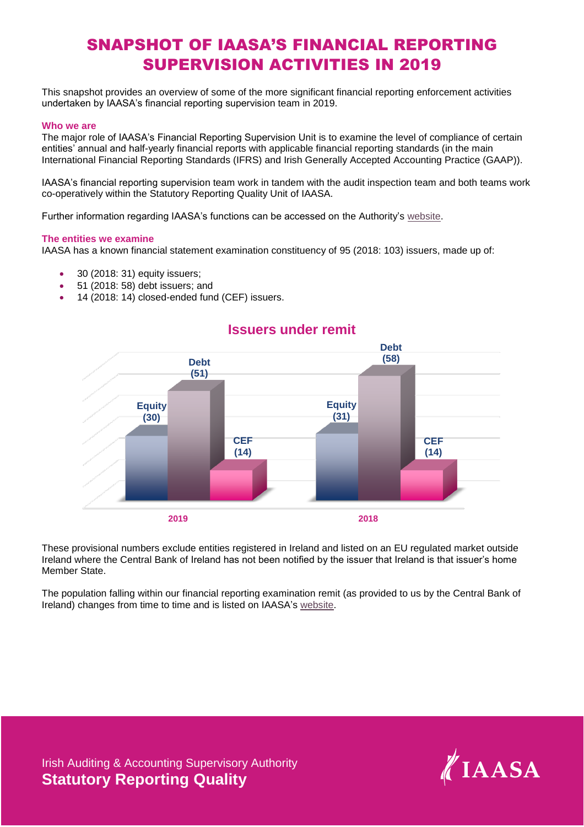## SNAPSHOT OF IAASA'S FINANCIAL REPORTING SUPERVISION ACTIVITIES IN 2019

This snapshot provides an overview of some of the more significant financial reporting enforcement activities undertaken by IAASA's financial reporting supervision team in 2019.

### **Who we are**

The major role of IAASA's Financial Reporting Supervision Unit is to examine the level of compliance of certain entities' annual and half-yearly financial reports with applicable financial reporting standards (in the main International Financial Reporting Standards (IFRS) and Irish Generally Accepted Accounting Practice (GAAP)).

IAASA's financial reporting supervision team work in tandem with the audit inspection team and both teams work co-operatively within the Statutory Reporting Quality Unit of IAASA.

Further information regarding IAASA's functions can be accessed on [the Authority's](http://www.iaasa.ie/) website.

### **The entities we examine**

IAASA has a known financial statement examination constituency of 95 (2018: 103) issuers, made up of:

- 30 (2018: 31) equity issuers;
- 51 (2018: 58) debt issuers; and
- 14 (2018: 14) closed-ended fund (CEF) issuers.



# **Issuers under remit**

These provisional numbers exclude entities registered in Ireland and listed on an EU regulated market outside Ireland where the Central Bank of Ireland has not been notified by the issuer that Ireland is that issuer's home Member State.

The population falling within our financial reporting examination remit (as provided to us by the Central Bank of Ireland) changes from time to time and is listed on IAASA's [website.](http://www.iaasa.ie/FAQs/FRS)

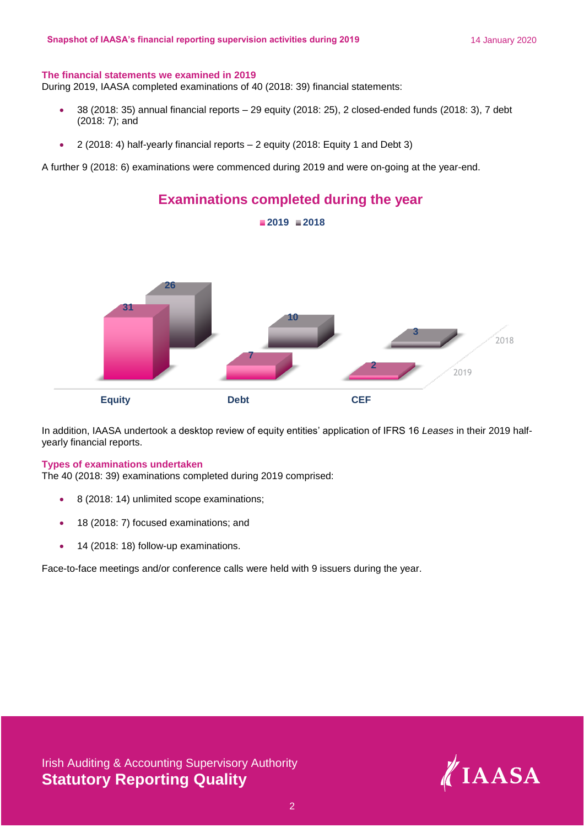### **The financial statements we examined in 2019**

During 2019, IAASA completed examinations of 40 (2018: 39) financial statements:

- 38 (2018: 35) annual financial reports 29 equity (2018: 25), 2 closed-ended funds (2018: 3), 7 debt (2018: 7); and
- 2 (2018: 4) half-yearly financial reports 2 equity (2018: Equity 1 and Debt 3)

A further 9 (2018: 6) examinations were commenced during 2019 and were on-going at the year-end.



In addition, IAASA undertook a desktop review of equity entities' application of IFRS 16 *Leases* in their 2019 halfyearly financial reports.

### **Types of examinations undertaken**

The 40 (2018: 39) examinations completed during 2019 comprised:

- 8 (2018: 14) unlimited scope examinations;
- 18 (2018: 7) focused examinations; and
- 14 (2018: 18) follow-up examinations.

Face-to-face meetings and/or conference calls were held with 9 issuers during the year.

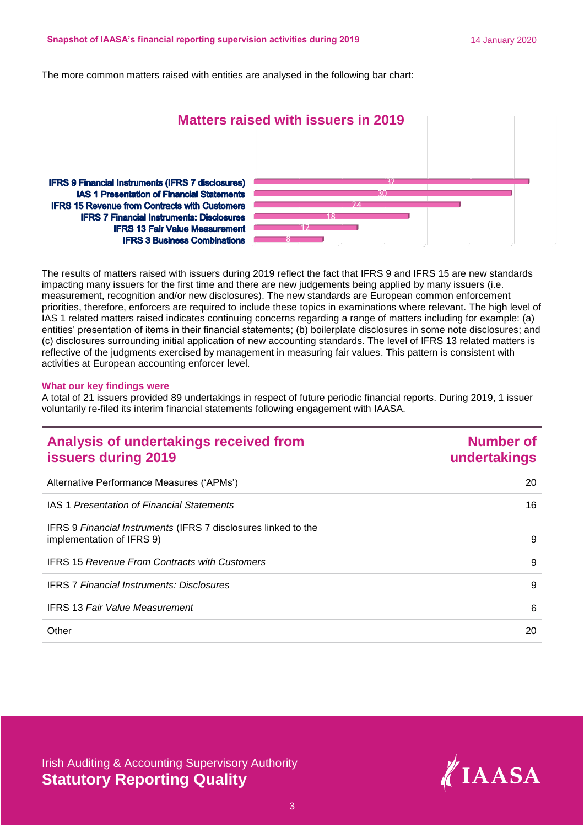The more common matters raised with entities are analysed in the following bar chart:

### **Matters raised with issuers in 2019**

**IFRS 9 Financial Instruments (IFRS 7 disclosures) IAS 1 Presentation of Financial Statements IFRS 15 Revenue from Contracts with Customers IFRS 7 Financial Instruments: Disclosures IFRS 13 Fair Value Measurement IFRS 3 Business Combinations** 



The results of matters raised with issuers during 2019 reflect the fact that IFRS 9 and IFRS 15 are new standards impacting many issuers for the first time and there are new judgements being applied by many issuers (i.e. measurement, recognition and/or new disclosures). The new standards are European common enforcement priorities, therefore, enforcers are required to include these topics in examinations where relevant. The high level of IAS 1 related matters raised indicates continuing concerns regarding a range of matters including for example: (a) entities' presentation of items in their financial statements; (b) boilerplate disclosures in some note disclosures; and (c) disclosures surrounding initial application of new accounting standards. The level of IFRS 13 related matters is reflective of the judgments exercised by management in measuring fair values. This pattern is consistent with activities at European accounting enforcer level.

### **What our key findings were**

A total of 21 issuers provided 89 undertakings in respect of future periodic financial reports. During 2019, 1 issuer voluntarily re-filed its interim financial statements following engagement with IAASA.

| Analysis of undertakings received from<br><b>issuers during 2019</b>                        | <b>Number of</b><br>undertakings |
|---------------------------------------------------------------------------------------------|----------------------------------|
| Alternative Performance Measures ('APMs')                                                   | 20                               |
| <b>IAS 1 Presentation of Financial Statements</b>                                           | 16                               |
| IFRS 9 Financial Instruments (IFRS 7 disclosures linked to the<br>implementation of IFRS 9) | 9                                |
| <b>IFRS 15 Revenue From Contracts with Customers</b>                                        | 9                                |
| <b>IFRS 7 Financial Instruments: Disclosures</b>                                            | 9                                |
| <b>IFRS 13 Fair Value Measurement</b>                                                       | 6                                |
| Other                                                                                       | 20                               |